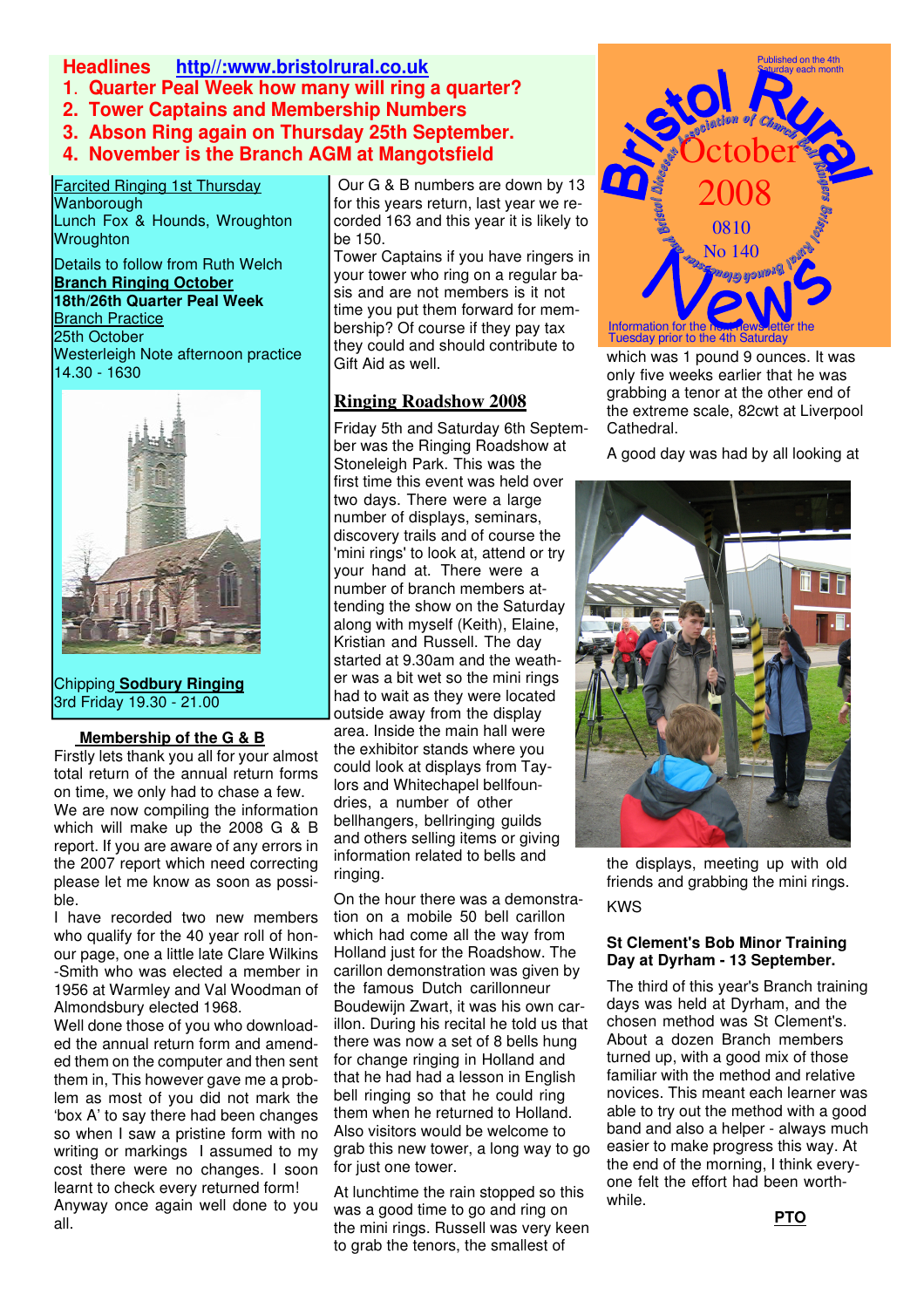## **Headlines http//:www.bristolrural.co.uk**

**1**. **Quarter Peal Week how many will ring a quarter?**

**2. Tower Captains and Membership Numbers**

**3. Abson Ring again on Thursday 25th September.**

**4. November is the Branch AGM at Mangotsfield**

 Farcited Ringing 1st Thursday Wanborough Lunch Fox & Hounds, Wroughton Wroughton

Details to follow from Ruth Welch **Branch Ringing October**

**18th/26th Quarter Peal Week** Branch Practice 25th October Westerleigh Note afternoon practice 14.30 - 1630



Chipping **Sodbury Ringing** 3rd Friday 19.30 - 21.00

i<br>I

# **Membership of the G & B**

Firstly lets thank you all for your almost total return of the annual return forms on time, we only had to chase a few. We are now compiling the information which will make up the 2008 G & B report. If you are aware of any errors in the 2007 report which need correcting please let me know as soon as possible.

I have recorded two new members who qualify for the 40 year roll of honour page, one a little late Clare Wilkins -Smith who was elected a member in 1956 at Warmley and Val Woodman of Almondsbury elected 1968.

Well done those of you who downloaded the annual return form and amended them on the computer and then sent them in, This however gave me a problem as most of you did not mark the 'box A' to say there had been changes so when I saw a pristine form with no writing or markings I assumed to my cost there were no changes. I soon learnt to check every returned form! Anyway once again well done to you all.

 Our G & B numbers are down by 13 for this years return, last year we recorded 163 and this year it is likely to be 150.

Tower Captains if you have ringers in your tower who ring on a regular basis and are not members is it not time you put them forward for membership? Of course if they pay tax they could and should contribute to Gift Aid as well.

# **Ringing Roadshow 2008**

Friday 5th and Saturday 6th September was the Ringing Roadshow at Stoneleigh Park. This was the first time this event was held over two days. There were a large number of displays, seminars, discovery trails and of course the 'mini rings' to look at, attend or try your hand at. There were a number of branch members attending the show on the Saturday along with myself (Keith), Elaine, Kristian and Russell. The day started at 9.30am and the weather was a bit wet so the mini rings had to wait as they were located outside away from the display area. Inside the main hall were the exhibitor stands where you could look at displays from Taylors and Whitechapel bellfoundries, a number of other bellhangers, bellringing guilds and others selling items or giving information related to bells and ringing.

On the hour there was a demonstration on a mobile 50 bell carillon which had come all the way from Holland just for the Roadshow. The carillon demonstration was given by the famous Dutch carillonneur Boudewijn Zwart, it was his own carillon. During his recital he told us that there was now a set of 8 bells hung for change ringing in Holland and that he had had a lesson in English bell ringing so that he could ring them when he returned to Holland. Also visitors would be welcome to grab this new tower, a long way to go for just one tower.

At lunchtime the rain stopped so this was a good time to go and ring on the mini rings. Russell was very keen to grab the tenors, the smallest of



which was 1 pound 9 ounces. It was only five weeks earlier that he was grabbing a tenor at the other end of the extreme scale, 82cwt at Liverpool Cathedral.

A good day was had by all looking at



the displays, meeting up with old friends and grabbing the mini rings. KWS

### **St Clement's Bob Minor Training Day at Dyrham - 13 September.**

The third of this year's Branch training days was held at Dyrham, and the chosen method was St Clement's. About a dozen Branch members turned up, with a good mix of those familiar with the method and relative novices. This meant each learner was able to try out the method with a good band and also a helper - always much easier to make progress this way. At the end of the morning, I think everyone felt the effort had been worthwhile.